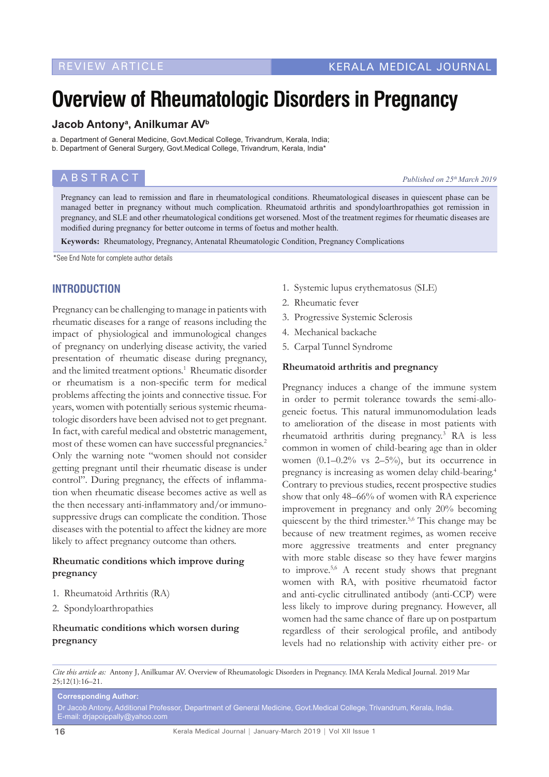# **Overview of Rheumatologic Disorders in Pregnancy**

# **Jacob Antonya , Anilkumar AVb**

a. Department of General Medicine, Govt.Medical College, Trivandrum, Kerala, India;

b. Department of General Surgery, Govt.Medical College, Trivandrum, Kerala, India\*

# **ABSTRACT** *Published on 25<sup>th</sup> March 2019*

Pregnancy can lead to remission and flare in rheumatological conditions. Rheumatological diseases in quiescent phase can be managed better in pregnancy without much complication. Rheumatoid arthritis and spondyloarthropathies got remission in pregnancy, and SLE and other rheumatological conditions get worsened. Most of the treatment regimes for rheumatic diseases are modified during pregnancy for better outcome in terms of foetus and mother health.

**Keywords:** Rheumatology, Pregnancy, Antenatal Rheumatologic Condition, Pregnancy Complications

\*See End Note for complete author details

# **INTRODUCTION**

Pregnancy can be challenging to manage in patients with rheumatic diseases for a range of reasons including the impact of physiological and immunological changes of pregnancy on underlying disease activity, the varied presentation of rheumatic disease during pregnancy, and the limited treatment options.<sup>1</sup> Rheumatic disorder or rheumatism is a non-specific term for medical problems affecting the joints and connective tissue. For years, women with potentially serious systemic rheumatologic disorders have been advised not to get pregnant. In fact, with careful medical and obstetric management, most of these women can have successful pregnancies.<sup>2</sup> Only the warning note "women should not consider getting pregnant until their rheumatic disease is under control". During pregnancy, the effects of inflammation when rheumatic disease becomes active as well as the then necessary anti-inflammatory and/or immunosuppressive drugs can complicate the condition. Those diseases with the potential to affect the kidney are more likely to affect pregnancy outcome than others.

## **Rheumatic conditions which improve during pregnancy**

- 1. Rheumatoid Arthritis (RA)
- 2. Spondyloarthropathies

## R**heumatic conditions which worsen during pregnancy**

- 1. Systemic lupus erythematosus (SLE)
- 2. Rheumatic fever
- 3. Progressive Systemic Sclerosis
- 4. Mechanical backache
- 5. Carpal Tunnel Syndrome

#### **Rheumatoid arthritis and pregnancy**

Pregnancy induces a change of the immune system in order to permit tolerance towards the semi-allogeneic foetus. This natural immunomodulation leads to amelioration of the disease in most patients with rheumatoid arthritis during pregnancy.3 RA is less common in women of child-bearing age than in older women  $(0.1-0.2\%$  vs  $2-5\%)$ , but its occurrence in pregnancy is increasing as women delay child-bearing.4 Contrary to previous studies, recent prospective studies show that only 48–66% of women with RA experience improvement in pregnancy and only 20% becoming quiescent by the third trimester.<sup>5,6</sup> This change may be because of new treatment regimes, as women receive more aggressive treatments and enter pregnancy with more stable disease so they have fewer margins to improve.<sup>5,6</sup> A recent study shows that pregnant women with RA, with positive rheumatoid factor and anti-cyclic citrullinated antibody (anti-CCP) were less likely to improve during pregnancy. However, all women had the same chance of flare up on postpartum regardless of their serological profile, and antibody levels had no relationship with activity either pre- or

*Cite this article as:* Antony J, Anilkumar AV. Overview of Rheumatologic Disorders in Pregnancy. IMA Kerala Medical Journal. 2019 Mar  $25:12(1):16-21.$ 

**Corresponding Author:**

Dr Jacob Antony, Additional Professor, Department of General Medicine, Govt.Medical College, Trivandrum, Kerala, India. E-mail: drjapoippally@yahoo.com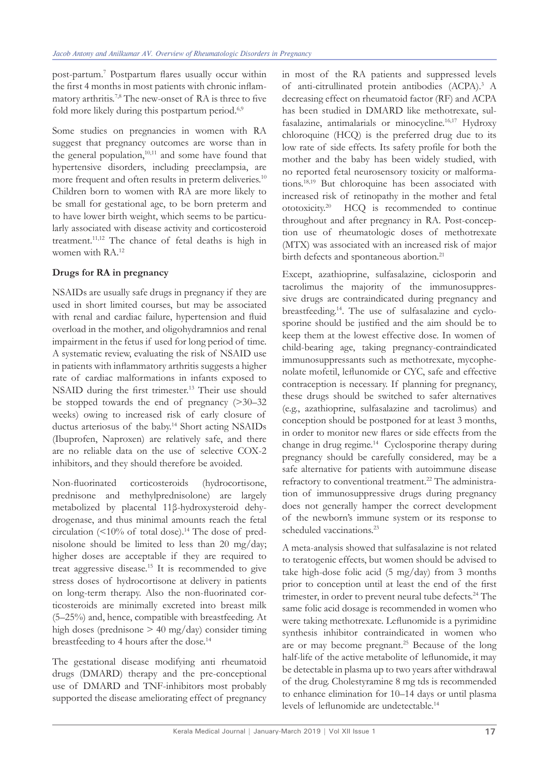post-partum.7 Postpartum flares usually occur within the first 4 months in most patients with chronic inflammatory arthritis.7,8 The new-onset of RA is three to five fold more likely during this postpartum period.<sup>6,9</sup>

Some studies on pregnancies in women with RA suggest that pregnancy outcomes are worse than in the general population, $10,111$  and some have found that hypertensive disorders, including preeclampsia, are more frequent and often results in preterm deliveries.<sup>10</sup> Children born to women with RA are more likely to be small for gestational age, to be born preterm and to have lower birth weight, which seems to be particularly associated with disease activity and corticosteroid treatment.11,12 The chance of fetal deaths is high in women with RA.12

# **Drugs for RA in pregnancy**

NSAIDs are usually safe drugs in pregnancy if they are used in short limited courses, but may be associated with renal and cardiac failure, hypertension and fluid overload in the mother, and oligohydramnios and renal impairment in the fetus if used for long period of time. A systematic review, evaluating the risk of NSAID use in patients with inflammatory arthritis suggests a higher rate of cardiac malformations in infants exposed to NSAID during the first trimester.13 Their use should be stopped towards the end of pregnancy (>30–32 weeks) owing to increased risk of early closure of ductus arteriosus of the baby.<sup>14</sup> Short acting NSAIDs (Ibuprofen, Naproxen) are relatively safe, and there are no reliable data on the use of selective COX-2 inhibitors, and they should therefore be avoided.

Non-fluorinated corticosteroids (hydrocortisone, prednisone and methylprednisolone) are largely metabolized by placental 11β-hydroxysteroid dehydrogenase, and thus minimal amounts reach the fetal circulation  $($  <10% of total dose).<sup>14</sup> The dose of prednisolone should be limited to less than 20 mg/day; higher doses are acceptable if they are required to treat aggressive disease.15 It is recommended to give stress doses of hydrocortisone at delivery in patients on long-term therapy. Also the non-fluorinated corticosteroids are minimally excreted into breast milk (5–25%) and, hence, compatible with breastfeeding. At high doses (prednisone > 40 mg/day) consider timing breastfeeding to 4 hours after the dose.<sup>14</sup>

The gestational disease modifying anti rheumatoid drugs (DMARD) therapy and the pre-conceptional use of DMARD and TNF-inhibitors most probably supported the disease ameliorating effect of pregnancy

in most of the RA patients and suppressed levels of anti-citrullinated protein antibodies (ACPA).<sup>3</sup> A decreasing effect on rheumatoid factor (RF) and ACPA has been studied in DMARD like methotrexate, sulfasalazine, antimalarials or minocycline.<sup>16,17</sup> Hydroxy chloroquine (HCQ) is the preferred drug due to its low rate of side effects. Its safety profile for both the mother and the baby has been widely studied, with no reported fetal neurosensory toxicity or malformations.18,19 But chloroquine has been associated with increased risk of retinopathy in the mother and fetal ototoxicity.20 HCQ is recommended to continue throughout and after pregnancy in RA. Post-conception use of rheumatologic doses of methotrexate (MTX) was associated with an increased risk of major birth defects and spontaneous abortion.<sup>21</sup>

Except, azathioprine, sulfasalazine, ciclosporin and tacrolimus the majority of the immunosuppressive drugs are contraindicated during pregnancy and breastfeeding.14. The use of sulfasalazine and cyclosporine should be justified and the aim should be to keep them at the lowest effective dose. In women of child-bearing age, taking pregnancy-contraindicated immunosuppressants such as methotrexate, mycophenolate mofetil, leflunomide or CYC, safe and effective contraception is necessary. If planning for pregnancy, these drugs should be switched to safer alternatives (e.g., azathioprine, sulfasalazine and tacrolimus) and conception should be postponed for at least 3 months, in order to monitor new flares or side effects from the change in drug regime.14 Cyclosporine therapy during pregnancy should be carefully considered, may be a safe alternative for patients with autoimmune disease refractory to conventional treatment.22 The administration of immunosuppressive drugs during pregnancy does not generally hamper the correct development of the newborn's immune system or its response to scheduled vaccinations.<sup>23</sup>

A meta-analysis showed that sulfasalazine is not related to teratogenic effects, but women should be advised to take high-dose folic acid (5 mg/day) from 3 months prior to conception until at least the end of the first trimester, in order to prevent neural tube defects.<sup>24</sup> The same folic acid dosage is recommended in women who were taking methotrexate. Leflunomide is a pyrimidine synthesis inhibitor contraindicated in women who are or may become pregnant.25 Because of the long half-life of the active metabolite of leflunomide, it may be detectable in plasma up to two years after withdrawal of the drug. Cholestyramine 8 mg tds is recommended to enhance elimination for 10–14 days or until plasma levels of leflunomide are undetectable.<sup>14</sup>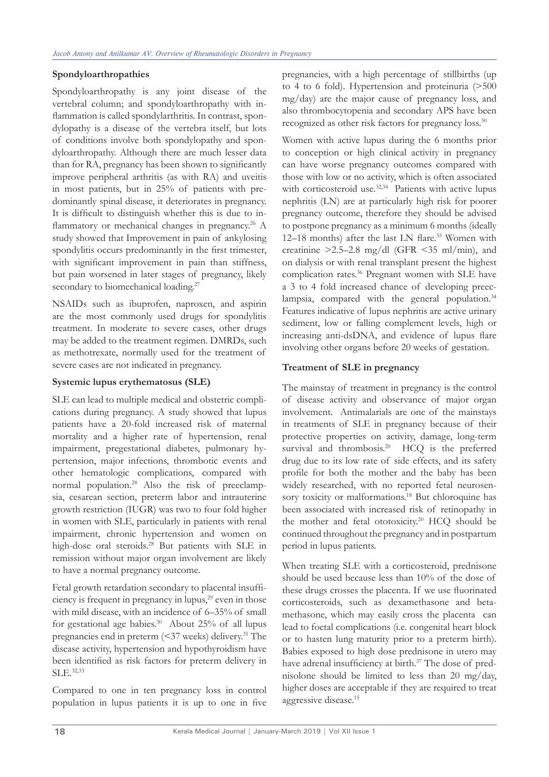## **Spondyloarthropathies**

Spondyloarthropathy is any joint disease of the vertebral column; and spondyloarthropathy with inflammation is called spondylarthritis. In contrast, spondylopathy is a disease of the vertebra itself, but lots of conditions involve both spondylopathy and spondyloarthropathy. Although there are much lesser data than for RA, pregnancy has been shown to significantly improve peripheral arthritis (as with RA) and uveitis in most patients, but in 25% of patients with predominantly spinal disease, it deteriorates in pregnancy. It is difficult to distinguish whether this is due to inflammatory or mechanical changes in pregnancy.<sup>26</sup> A study showed that Improvement in pain of ankylosing spondylitis occurs predominantly in the first trimester, with significant improvement in pain than stiffness, but pain worsened in later stages of pregnancy, likely secondary to biomechanical loading.<sup>27</sup>

NSAIDs such as ibuprofen, naproxen, and aspirin are the most commonly used drugs for spondylitis treatment. In moderate to severe cases, other drugs may be added to the treatment regimen. DMRDs, such as methotrexate, normally used for the treatment of severe cases are not indicated in pregnancy.

#### **Systemic lupus erythematosus (SLE)**

SLE can lead to multiple medical and obstetric complications during pregnancy. A study showed that lupus patients have a 20-fold increased risk of maternal mortality and a higher rate of hypertension, renal impairment, pregestational diabetes, pulmonary hypertension, major infections, thrombotic events and other hematologic complications, compared with normal population.28 Also the risk of preeclampsia, cesarean section, preterm labor and intrauterine growth restriction (IUGR) was two to four fold higher in women with SLE, particularly in patients with renal impairment, chronic hypertension and women on high-dose oral steroids.<sup>28</sup> But patients with SLE in remission without major organ involvement are likely to have a normal pregnancy outcome.

Fetal growth retardation secondary to placental insufficiency is frequent in pregnancy in lupus,<sup>29</sup> even in those with mild disease, with an incidence of 6–35% of small for gestational age babies. $30$  About 25% of all lupus pregnancies end in preterm (<37 weeks) delivery.31 The disease activity, hypertension and hypothyroidism have been identified as risk factors for preterm delivery in SLE.32,33

Compared to one in ten pregnancy loss in control population in lupus patients it is up to one in five

pregnancies, with a high percentage of stillbirths (up to 4 to 6 fold). Hypertension and proteinuria (>500 mg/day) are the major cause of pregnancy loss, and also thrombocytopenia and secondary APS have been recognized as other risk factors for pregnancy loss.<sup>30</sup>

Women with active lupus during the 6 months prior to conception or high clinical activity in pregnancy can have worse pregnancy outcomes compared with those with low or no activity, which is often associated with corticosteroid use.<sup>32,34</sup> Patients with active lupus nephritis (LN) are at particularly high risk for poorer pregnancy outcome, therefore they should be advised to postpone pregnancy as a minimum 6 months (ideally 12–18 months) after the last LN flare.<sup>35</sup> Women with creatinine  $>2.5-2.8$  mg/dl (GFR  $\leq$ 35 ml/min), and on dialysis or with renal transplant present the highest complication rates.<sup>36</sup> Pregnant women with SLE have a 3 to 4 fold increased chance of developing preeclampsia, compared with the general population.<sup>34</sup> Features indicative of lupus nephritis are active urinary sediment, low or falling complement levels, high or increasing anti-dsDNA, and evidence of lupus flare involving other organs before 20 weeks of gestation.

## **Treatment of SLE in pregnancy**

The mainstay of treatment in pregnancy is the control of disease activity and observance of major organ involvement. Antimalarials are one of the mainstays in treatments of SLE in pregnancy because of their protective properties on activity, damage, long-term survival and thrombosis.<sup>20</sup> HCQ is the preferred drug due to its low rate of side effects, and its safety profile for both the mother and the baby has been widely researched, with no reported fetal neurosensory toxicity or malformations.<sup>18</sup> But chloroquine has been associated with increased risk of retinopathy in the mother and fetal ototoxicity.20 HCQ should be continued throughout the pregnancy and in postpartum period in lupus patients.

When treating SLE with a corticosteroid, prednisone should be used because less than 10% of the dose of these drugs crosses the placenta. If we use fluorinated corticosteroids, such as dexamethasone and betamethasone, which may easily cross the placenta can lead to foetal complications (i.e. congenital heart block or to hasten lung maturity prior to a preterm birth). Babies exposed to high dose prednisone in utero may have adrenal insufficiency at birth.<sup>37</sup> The dose of prednisolone should be limited to less than 20 mg/day, higher doses are acceptable if they are required to treat aggressive disease.15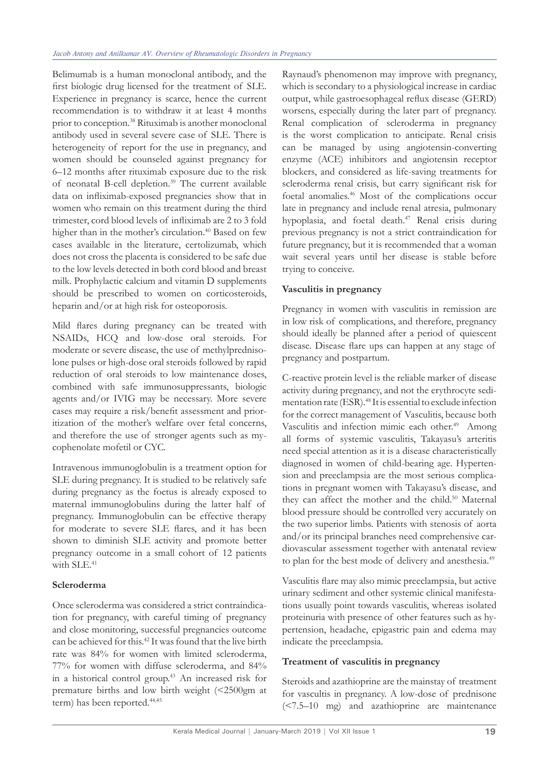Belimumab is a human monoclonal antibody, and the first biologic drug licensed for the treatment of SLE. Experience in pregnancy is scarce, hence the current recommendation is to withdraw it at least 4 months prior to conception.38 Rituximab is another monoclonal antibody used in several severe case of SLE. There is heterogeneity of report for the use in pregnancy, and women should be counseled against pregnancy for 6–12 months after rituximab exposure due to the risk of neonatal B-cell depletion.39 The current available data on infliximab-exposed pregnancies show that in women who remain on this treatment during the third trimester, cord blood levels of infliximab are 2 to 3 fold higher than in the mother's circulation.<sup>40</sup> Based on few cases available in the literature, certolizumab, which does not cross the placenta is considered to be safe due to the low levels detected in both cord blood and breast milk. Prophylactic calcium and vitamin D supplements should be prescribed to women on corticosteroids, heparin and/or at high risk for osteoporosis.

Mild flares during pregnancy can be treated with NSAIDs, HCQ and low-dose oral steroids. For moderate or severe disease, the use of methylprednisolone pulses or high-dose oral steroids followed by rapid reduction of oral steroids to low maintenance doses, combined with safe immunosuppressants, biologic agents and/or IVIG may be necessary. More severe cases may require a risk/benefit assessment and prioritization of the mother's welfare over fetal concerns, and therefore the use of stronger agents such as mycophenolate mofetil or CYC.

Intravenous immunoglobulin is a treatment option for SLE during pregnancy. It is studied to be relatively safe during pregnancy as the foetus is already exposed to maternal immunoglobulins during the latter half of pregnancy. Immunoglobulin can be effective therapy for moderate to severe SLE flares, and it has been shown to diminish SLE activity and promote better pregnancy outcome in a small cohort of 12 patients with SLE.<sup>41</sup>

## **Scleroderma**

Once scleroderma was considered a strict contraindication for pregnancy, with careful timing of pregnancy and close monitoring, successful pregnancies outcome can be achieved for this.<sup>42</sup> It was found that the live birth rate was 84% for women with limited scleroderma, 77% for women with diffuse scleroderma, and 84% in a historical control group.43 An increased risk for premature births and low birth weight (<2500gm at term) has been reported.<sup>44,45</sup>

Raynaud's phenomenon may improve with pregnancy, which is secondary to a physiological increase in cardiac output, while gastroesophageal reflux disease (GERD) worsens, especially during the later part of pregnancy. Renal complication of scleroderma in pregnancy is the worst complication to anticipate. Renal crisis can be managed by using angiotensin-converting enzyme (ACE) inhibitors and angiotensin receptor blockers, and considered as life-saving treatments for scleroderma renal crisis, but carry significant risk for foetal anomalies.46 Most of the complications occur late in pregnancy and include renal atresia, pulmonary hypoplasia, and foetal death.<sup>47</sup> Renal crisis during previous pregnancy is not a strict contraindication for future pregnancy, but it is recommended that a woman wait several years until her disease is stable before trying to conceive.

## **Vasculitis in pregnancy**

Pregnancy in women with vasculitis in remission are in low risk of complications, and therefore, pregnancy should ideally be planned after a period of quiescent disease. Disease flare ups can happen at any stage of pregnancy and postpartum.

C-reactive protein level is the reliable marker of disease activity during pregnancy, and not the erythrocyte sedimentation rate (ESR).48 It is essential to exclude infection for the correct management of Vasculitis, because both Vasculitis and infection mimic each other.<sup>49</sup> Among all forms of systemic vasculitis, Takayasu's arteritis need special attention as it is a disease characteristically diagnosed in women of child-bearing age. Hypertension and preeclampsia are the most serious complications in pregnant women with Takayasu's disease, and they can affect the mother and the child.<sup>50</sup> Maternal blood pressure should be controlled very accurately on the two superior limbs. Patients with stenosis of aorta and/or its principal branches need comprehensive cardiovascular assessment together with antenatal review to plan for the best mode of delivery and anesthesia.<sup>49</sup>

Vasculitis flare may also mimic preeclampsia, but active urinary sediment and other systemic clinical manifestations usually point towards vasculitis, whereas isolated proteinuria with presence of other features such as hypertension, headache, epigastric pain and edema may indicate the preeclampsia.

## **Treatment of vasculitis in pregnancy**

Steroids and azathioprine are the mainstay of treatment for vascultis in pregnancy. A low-dose of prednisone (<7.5–10 mg) and azathioprine are maintenance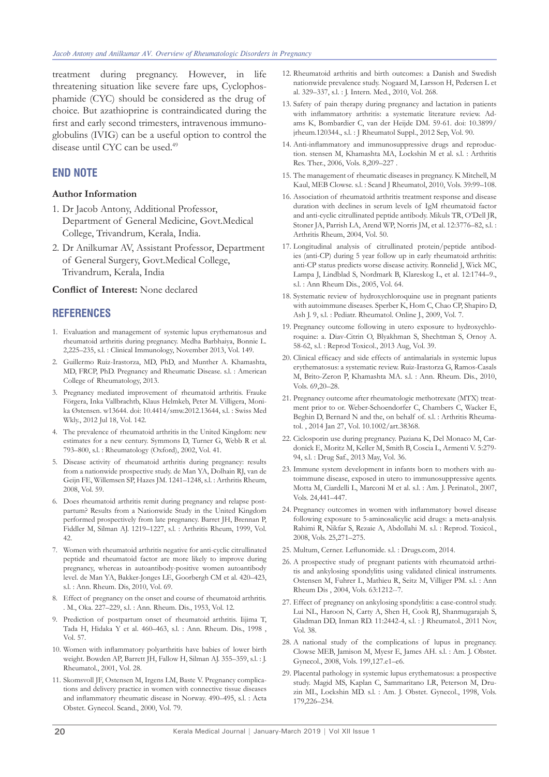treatment during pregnancy. However, in life threatening situation like severe fare ups, Cyclophosphamide (CYC) should be considered as the drug of choice. But azathioprine is contraindicated during the first and early second trimesters, intravenous immunoglobulins (IVIG) can be a useful option to control the disease until CYC can be used.<sup>49</sup>

#### **END NOTE**

#### **Author Information**

- 1. Dr Jacob Antony, Additional Professor, Department of General Medicine, Govt.Medical College, Trivandrum, Kerala, India.
- 2. Dr Anilkumar AV, Assistant Professor, Department of General Surgery, Govt.Medical College, Trivandrum, Kerala, India

#### **Conflict of Interest:** None declared

#### **REFERENCES**

- 1. Evaluation and management of systemic lupus erythematosus and rheumatoid arthritis during pregnancy. Medha Barbhaiya, Bonnie L. 2,225–235, s.l. : Clinical Immunology, November 2013, Vol. 149.
- 2. Guillermo Ruiz-Irastorza, MD, PhD, and Munther A. Khamashta, MD, FRCP, PhD. Pregnancy and Rheumatic Disease. s.l. : American College of Rheumatology, 2013.
- 3. Pregnancy mediated improvement of rheumatoid arthritis. Frauke Förgera, Inka Vallbrachtb, Klaus Helmkeb, Peter M. Villigera, Monika Østensen. w13644. doi: 10.4414/smw.2012.13644, s.l. : Swiss Med Wkly., 2012 Jul 18, Vol. 142.
- 4. The prevalence of rheumatoid arthritis in the United Kingdom: new estimates for a new century. Symmons D, Turner G, Webb R et al. 793–800, s.l. : Rheumatology (Oxford), 2002, Vol. 41.
- 5. Disease activity of rheumatoid arthritis during pregnancy: results from a nationwide prospective study. de Man YA, Dolhain RJ, van de Geijn FE, Willemsen SP, Hazes JM. 1241–1248, s.l. : Arthritis Rheum, 2008, Vol. 59.
- 6. Does rheumatoid arthritis remit during pregnancy and relapse postpartum? Results from a Nationwide Study in the United Kingdom performed prospectively from late pregnancy. Barret JH, Brennan P, Fiddler M, Silman AJ. 1219–1227, s.l. : Arthritis Rheum, 1999, Vol. 42.
- 7. Women with rheumatoid arthritis negative for anti-cyclic citrullinated peptide and rheumatoid factor are more likely to improve during pregnancy, whereas in autoantibody-positive women autoantibody level. de Man YA, Bakker-Jonges LE, Goorbergh CM et al. 420–423, s.l. : Ann. Rheum. Dis, 2010, Vol. 69.
- 8. Effect of pregnancy on the onset and course of rheumatoid arthritis. . M., Oka. 227–229, s.l. : Ann. Rheum. Dis., 1953, Vol. 12.
- 9. Prediction of postpartum onset of rheumatoid arthritis. Iijima T, Tada H, Hidaka Y et al. 460–463, s.l. : Ann. Rheum. Dis., 1998 , Vol. 57.
- 10. Women with inflammatory polyarthritis have babies of lower birth weight. Bowden AP, Barrett JH, Fallow H, Silman AJ. 355–359, s.l. : J. Rheumatol., 2001, Vol. 28.
- 11. Skomsvoll JF, Ostensen M, Irgens LM, Baste V. Pregnancy complications and delivery practice in women with connective tissue diseases and inflammatory rheumatic disease in Norway. 490–495, s.l. : Acta Obstet. Gynecol. Scand., 2000, Vol. 79.
- 12. Rheumatoid arthritis and birth outcomes: a Danish and Swedish nationwide prevalence study. Nogaard M, Larsson H, Pedersen L et al. 329–337, s.l. : J. Intern. Med., 2010, Vol. 268.
- 13. Safety of pain therapy during pregnancy and lactation in patients with inflammatory arthritis: a systematic literature review. Adams K, Bombardier C, van der Heijde DM. 59-61. doi: 10.3899/ jrheum.120344., s.l. : J Rheumatol Suppl., 2012 Sep, Vol. 90.
- 14. Anti-inflammatory and immunosuppressive drugs and reproduction. stensen M, Khamashta MA, Lockshin M et al. s.l. : Arthritis Res. Ther., 2006, Vols. 8,209–227 .
- 15. The management of rheumatic diseases in pregnancy. K Mitchell, M Kaul, MEB Clowse. s.l. : Scand J Rheumatol, 2010, Vols. 39:99–108.
- 16. Association of rheumatoid arthritis treatment response and disease duration with declines in serum levels of IgM rheumatoid factor and anti-cyclic citrullinated peptide antibody. Mikuls TR, O'Dell JR, Stoner JA, Parrish LA, Arend WP, Norris JM, et al. 12:3776–82, s.l. : Arthritis Rheum, 2004, Vol. 50.
- 17. Longitudinal analysis of citrullinated protein/peptide antibodies (anti-CP) during 5 year follow up in early rheumatoid arthritis: anti-CP status predicts worse disease activity. Ronnelid J, Wick MC, Lampa J, Lindblad S, Nordmark B, Klareskog L, et al. 12:1744–9., s.l. : Ann Rheum Dis., 2005, Vol. 64.
- 18. Systematic review of hydroxychloroquine use in pregnant patients with autoimmune diseases. Sperber K, Hom C, Chao CP, Shapiro D, Ash J. 9, s.l. : Pediatr. Rheumatol. Online J., 2009, Vol. 7.
- 19. Pregnancy outcome following in utero exposure to hydroxychloroquine: a. Diav-Citrin O, Blyakhman S, Shechtman S, Ornoy A. 58-62, s.l. : Reprod Toxicol., 2013 Aug, Vol. 39.
- 20. Clinical efficacy and side effects of antimalarials in systemic lupus erythematosus: a systematic review. Ruiz-Irastorza G, Ramos-Casals M, Brito-Zeron P, Khamashta MA. s.l. : Ann. Rheum. Dis., 2010, Vols. 69,20–28.
- 21. Pregnancy outcome after rheumatologic methotrexate (MTX) treatment prior to or. Weber-Schoendorfer C, Chambers C, Wacker E, Beghin D, Bernard N and the, on behalf of. s.l. : Arthritis Rheumatol. , 2014 Jan 27, Vol. 10.1002/art.38368.
- 22. Ciclosporin use during pregnancy. Paziana K, Del Monaco M, Cardonick E, Moritz M, Keller M, Smith B, Coscia L, Armenti V. 5:279- 94, s.l. : Drug Saf., 2013 May, Vol. 36.
- 23. Immune system development in infants born to mothers with autoimmune disease, exposed in utero to immunosuppressive agents. Motta M, Ciardelli L, Marconi M et al. s.l. : Am. J. Perinatol., 2007, Vols. 24,441–447.
- 24. Pregnancy outcomes in women with inflammatory bowel disease following exposure to 5-aminosalicylic acid drugs: a meta-analysis. Rahimi R, Nikfar S, Rezaie A, Abdollahi M. s.l. : Reprod. Toxicol., 2008, Vols. 25,271–275.
- 25. Multum, Cerner. Leflunomide. s.l. : Drugs.com, 2014.
- 26. A prospective study of pregnant patients with rheumatoid arthritis and ankylosing spondylitis using validated clinical instruments. Ostensen M, Fuhrer L, Mathieu R, Seitz M, Villiger PM. s.l. : Ann Rheum Dis , 2004, Vols. 63:1212--7.
- 27. Effect of pregnancy on ankylosing spondylitis: a case-control study. Lui NL, Haroon N, Carty A, Shen H, Cook RJ, Shanmugarajah S, Gladman DD, Inman RD. 11:2442-4, s.l. : J Rheumatol., 2011 Nov, Vol. 38.
- 28. A national study of the complications of lupus in pregnancy. Clowse MEB, Jamison M, Myesr E, James AH. s.l. : Am. J. Obstet. Gynecol., 2008, Vols. 199,127.e1–e6.
- 29. Placental pathology in systemic lupus erythematosus: a prospective study. Magid MS, Kaplan C, Sammaritano LR, Peterson M, Druzin ML, Lockshin MD. s.l. : Am. J. Obstet. Gynecol., 1998, Vols. 179,226–234.